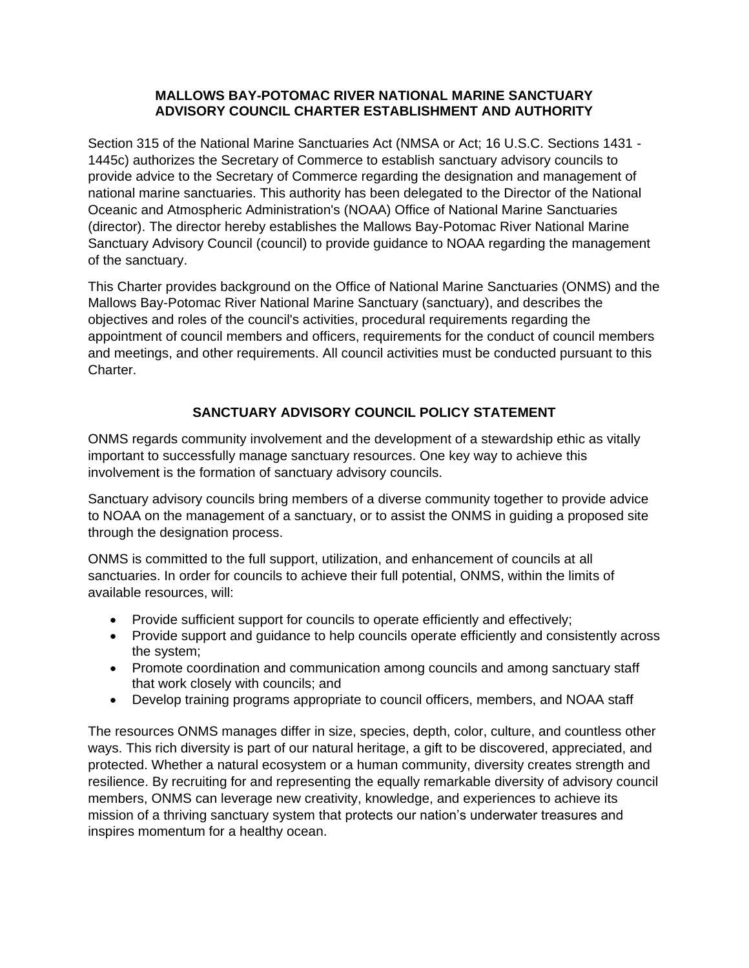### **MALLOWS BAY-POTOMAC RIVER NATIONAL MARINE SANCTUARY ADVISORY COUNCIL CHARTER ESTABLISHMENT AND AUTHORITY**

Section 315 of the National Marine Sanctuaries Act (NMSA or Act; 16 U.S.C. Sections 1431 - 1445c) authorizes the Secretary of Commerce to establish sanctuary advisory councils to provide advice to the Secretary of Commerce regarding the designation and management of national marine sanctuaries. This authority has been delegated to the Director of the National Oceanic and Atmospheric Administration's (NOAA) Office of National Marine Sanctuaries (director). The director hereby establishes the Mallows Bay-Potomac River National Marine Sanctuary Advisory Council (council) to provide guidance to NOAA regarding the management of the sanctuary.

This Charter provides background on the Office of National Marine Sanctuaries (ONMS) and the Mallows Bay-Potomac River National Marine Sanctuary (sanctuary), and describes the objectives and roles of the council's activities, procedural requirements regarding the appointment of council members and officers, requirements for the conduct of council members and meetings, and other requirements. All council activities must be conducted pursuant to this Charter.

# **SANCTUARY ADVISORY COUNCIL POLICY STATEMENT**

ONMS regards community involvement and the development of a stewardship ethic as vitally important to successfully manage sanctuary resources. One key way to achieve this involvement is the formation of sanctuary advisory councils.

Sanctuary advisory councils bring members of a diverse community together to provide advice to NOAA on the management of a sanctuary, or to assist the ONMS in guiding a proposed site through the designation process.

ONMS is committed to the full support, utilization, and enhancement of councils at all sanctuaries. In order for councils to achieve their full potential, ONMS, within the limits of available resources, will:

- Provide sufficient support for councils to operate efficiently and effectively;
- Provide support and guidance to help councils operate efficiently and consistently across the system;
- Promote coordination and communication among councils and among sanctuary staff that work closely with councils; and
- Develop training programs appropriate to council officers, members, and NOAA staff

The resources ONMS manages differ in size, species, depth, color, culture, and countless other ways. This rich diversity is part of our natural heritage, a gift to be discovered, appreciated, and protected. Whether a natural ecosystem or a human community, diversity creates strength and resilience. By recruiting for and representing the equally remarkable diversity of advisory council members, ONMS can leverage new creativity, knowledge, and experiences to achieve its mission of a thriving sanctuary system that protects our nation's underwater treasures and inspires momentum for a healthy ocean.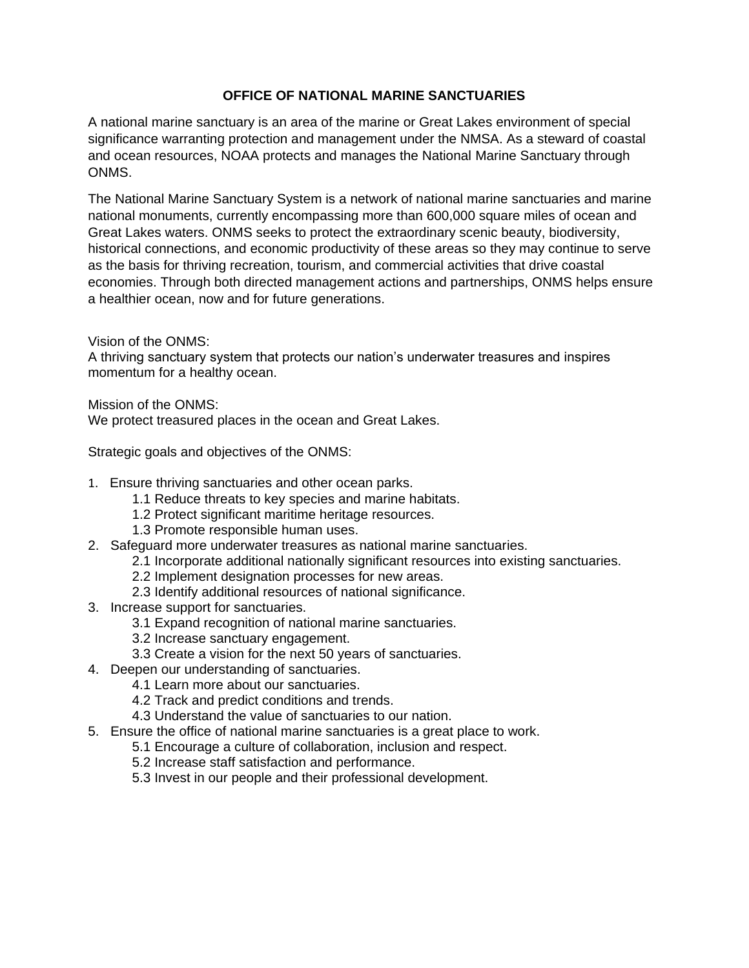### **OFFICE OF NATIONAL MARINE SANCTUARIES**

A national marine sanctuary is an area of the marine or Great Lakes environment of special significance warranting protection and management under the NMSA. As a steward of coastal and ocean resources, NOAA protects and manages the National Marine Sanctuary through ONMS.

The National Marine Sanctuary System is a network of national marine sanctuaries and marine national monuments, currently encompassing more than 600,000 square miles of ocean and Great Lakes waters. ONMS seeks to protect the extraordinary scenic beauty, biodiversity, historical connections, and economic productivity of these areas so they may continue to serve as the basis for thriving recreation, tourism, and commercial activities that drive coastal economies. Through both directed management actions and partnerships, ONMS helps ensure a healthier ocean, now and for future generations.

Vision of the ONMS:

A thriving sanctuary system that protects our nation's underwater treasures and inspires momentum for a healthy ocean.

Mission of the ONMS:

We protect treasured places in the ocean and Great Lakes.

Strategic goals and objectives of the ONMS:

- 1. Ensure thriving sanctuaries and other ocean parks.
	- 1.1 Reduce threats to key species and marine habitats.
	- 1.2 Protect significant maritime heritage resources.
	- 1.3 Promote responsible human uses.
- 2. Safeguard more underwater treasures as national marine sanctuaries.
	- 2.1 Incorporate additional nationally significant resources into existing sanctuaries.
	- 2.2 Implement designation processes for new areas.
	- 2.3 Identify additional resources of national significance.
- 3. Increase support for sanctuaries.
	- 3.1 Expand recognition of national marine sanctuaries.
	- 3.2 Increase sanctuary engagement.
	- 3.3 Create a vision for the next 50 years of sanctuaries.
- 4. Deepen our understanding of sanctuaries.
	- 4.1 Learn more about our sanctuaries.
	- 4.2 Track and predict conditions and trends.
	- 4.3 Understand the value of sanctuaries to our nation.
- 5. Ensure the office of national marine sanctuaries is a great place to work.
	- 5.1 Encourage a culture of collaboration, inclusion and respect.
	- 5.2 Increase staff satisfaction and performance.
	- 5.3 Invest in our people and their professional development.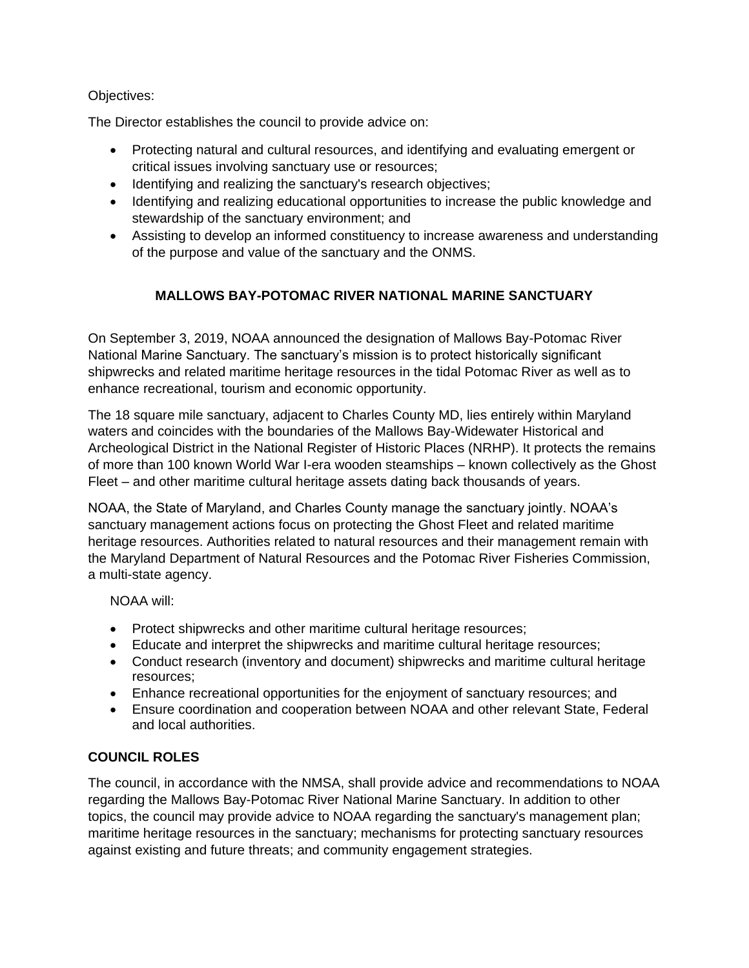### Objectives:

The Director establishes the council to provide advice on:

- Protecting natural and cultural resources, and identifying and evaluating emergent or critical issues involving sanctuary use or resources;
- Identifying and realizing the sanctuary's research objectives;
- Identifying and realizing educational opportunities to increase the public knowledge and stewardship of the sanctuary environment; and
- Assisting to develop an informed constituency to increase awareness and understanding of the purpose and value of the sanctuary and the ONMS.

# **MALLOWS BAY-POTOMAC RIVER NATIONAL MARINE SANCTUARY**

On September 3, 2019, NOAA announced the designation of Mallows Bay-Potomac River National Marine Sanctuary. The sanctuary's mission is to protect historically significant shipwrecks and related maritime heritage resources in the tidal Potomac River as well as to enhance recreational, tourism and economic opportunity.

The 18 square mile sanctuary, adjacent to Charles County MD, lies entirely within Maryland waters and coincides with the boundaries of the Mallows Bay-Widewater Historical and Archeological District in the National Register of Historic Places (NRHP). It protects the remains of more than 100 known World War I-era wooden steamships – known collectively as the Ghost Fleet – and other maritime cultural heritage assets dating back thousands of years.

NOAA, the State of Maryland, and Charles County manage the sanctuary jointly. NOAA's sanctuary management actions focus on protecting the Ghost Fleet and related maritime heritage resources. Authorities related to natural resources and their management remain with the Maryland Department of Natural Resources and the Potomac River Fisheries Commission, a multi-state agency.

NOAA will:

- Protect shipwrecks and other maritime cultural heritage resources;
- Educate and interpret the shipwrecks and maritime cultural heritage resources;
- Conduct research (inventory and document) shipwrecks and maritime cultural heritage resources;
- Enhance recreational opportunities for the enjoyment of sanctuary resources; and
- Ensure coordination and cooperation between NOAA and other relevant State, Federal and local authorities.

## **COUNCIL ROLES**

The council, in accordance with the NMSA, shall provide advice and recommendations to NOAA regarding the Mallows Bay-Potomac River National Marine Sanctuary. In addition to other topics, the council may provide advice to NOAA regarding the sanctuary's management plan; maritime heritage resources in the sanctuary; mechanisms for protecting sanctuary resources against existing and future threats; and community engagement strategies.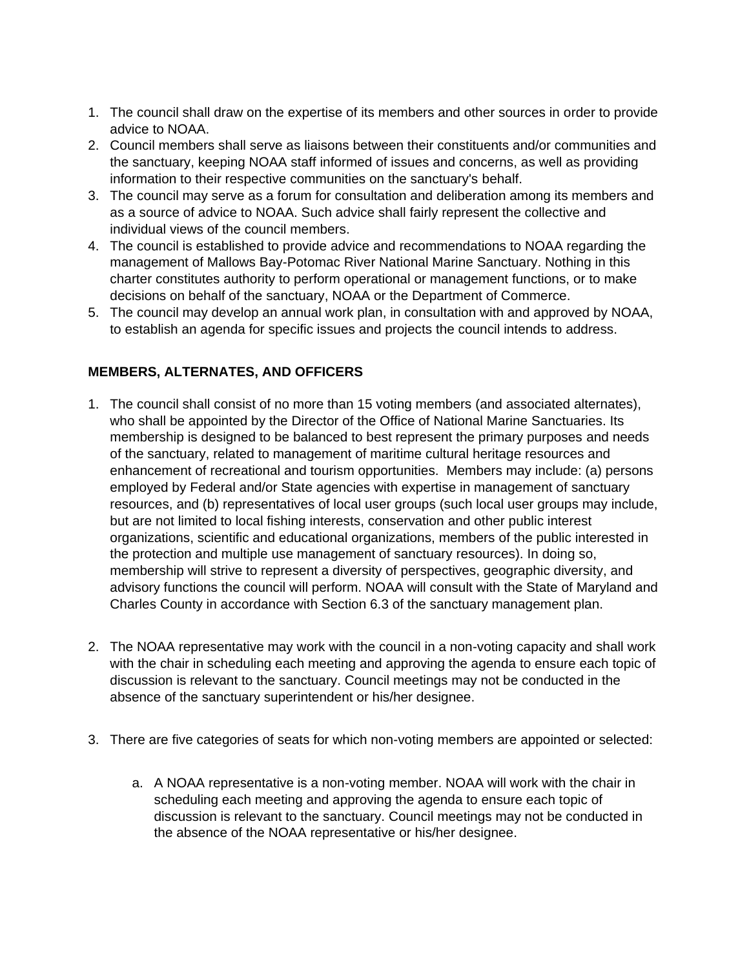- 1. The council shall draw on the expertise of its members and other sources in order to provide advice to NOAA.
- 2. Council members shall serve as liaisons between their constituents and/or communities and the sanctuary, keeping NOAA staff informed of issues and concerns, as well as providing information to their respective communities on the sanctuary's behalf.
- 3. The council may serve as a forum for consultation and deliberation among its members and as a source of advice to NOAA. Such advice shall fairly represent the collective and individual views of the council members.
- 4. The council is established to provide advice and recommendations to NOAA regarding the management of Mallows Bay-Potomac River National Marine Sanctuary. Nothing in this charter constitutes authority to perform operational or management functions, or to make decisions on behalf of the sanctuary, NOAA or the Department of Commerce.
- 5. The council may develop an annual work plan, in consultation with and approved by NOAA, to establish an agenda for specific issues and projects the council intends to address.

## **MEMBERS, ALTERNATES, AND OFFICERS**

- 1. The council shall consist of no more than 15 voting members (and associated alternates), who shall be appointed by the Director of the Office of National Marine Sanctuaries. Its membership is designed to be balanced to best represent the primary purposes and needs of the sanctuary, related to management of maritime cultural heritage resources and enhancement of recreational and tourism opportunities. Members may include: (a) persons employed by Federal and/or State agencies with expertise in management of sanctuary resources, and (b) representatives of local user groups (such local user groups may include, but are not limited to local fishing interests, conservation and other public interest organizations, scientific and educational organizations, members of the public interested in the protection and multiple use management of sanctuary resources). In doing so, membership will strive to represent a diversity of perspectives, geographic diversity, and advisory functions the council will perform. NOAA will consult with the State of Maryland and Charles County in accordance with Section 6.3 of the sanctuary management plan.
- 2. The NOAA representative may work with the council in a non-voting capacity and shall work with the chair in scheduling each meeting and approving the agenda to ensure each topic of discussion is relevant to the sanctuary. Council meetings may not be conducted in the absence of the sanctuary superintendent or his/her designee.
- 3. There are five categories of seats for which non-voting members are appointed or selected:
	- a. A NOAA representative is a non-voting member. NOAA will work with the chair in scheduling each meeting and approving the agenda to ensure each topic of discussion is relevant to the sanctuary. Council meetings may not be conducted in the absence of the NOAA representative or his/her designee.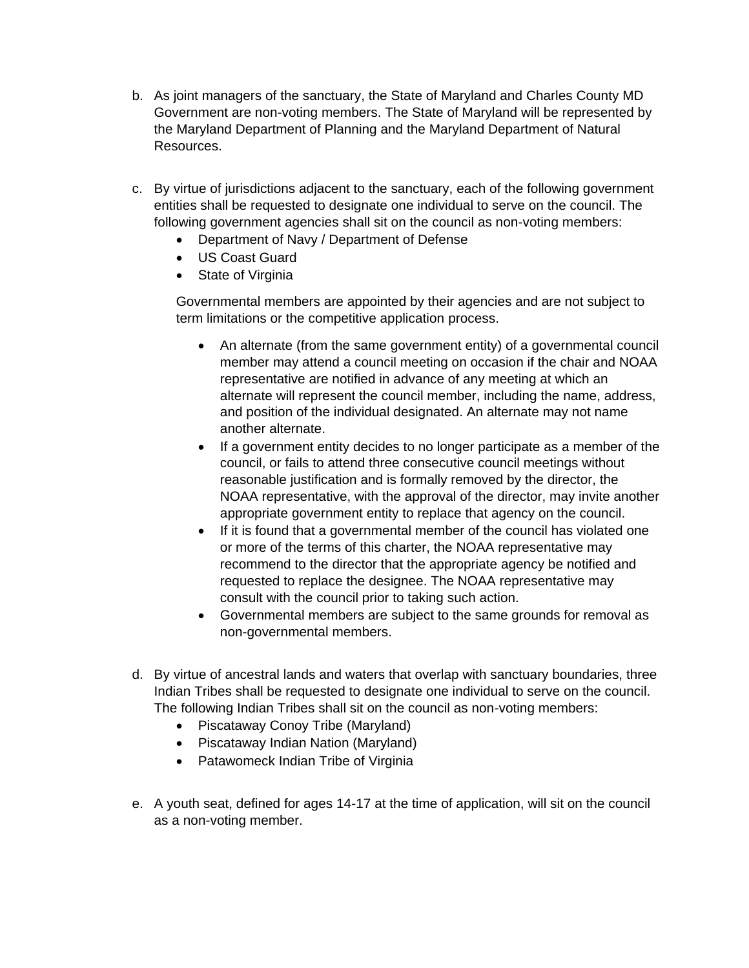- b. As joint managers of the sanctuary, the State of Maryland and Charles County MD Government are non-voting members. The State of Maryland will be represented by the Maryland Department of Planning and the Maryland Department of Natural Resources.
- c. By virtue of jurisdictions adjacent to the sanctuary, each of the following government entities shall be requested to designate one individual to serve on the council. The following government agencies shall sit on the council as non-voting members:
	- Department of Navy / Department of Defense
	- US Coast Guard
	- State of Virginia

Governmental members are appointed by their agencies and are not subject to term limitations or the competitive application process.

- An alternate (from the same government entity) of a governmental council member may attend a council meeting on occasion if the chair and NOAA representative are notified in advance of any meeting at which an alternate will represent the council member, including the name, address, and position of the individual designated. An alternate may not name another alternate.
- If a government entity decides to no longer participate as a member of the council, or fails to attend three consecutive council meetings without reasonable justification and is formally removed by the director, the NOAA representative, with the approval of the director, may invite another appropriate government entity to replace that agency on the council.
- If it is found that a governmental member of the council has violated one or more of the terms of this charter, the NOAA representative may recommend to the director that the appropriate agency be notified and requested to replace the designee. The NOAA representative may consult with the council prior to taking such action.
- Governmental members are subject to the same grounds for removal as non-governmental members.
- d. By virtue of ancestral lands and waters that overlap with sanctuary boundaries, three Indian Tribes shall be requested to designate one individual to serve on the council. The following Indian Tribes shall sit on the council as non-voting members:
	- Piscataway Conoy Tribe (Maryland)
	- Piscataway Indian Nation (Maryland)
	- Patawomeck Indian Tribe of Virginia
- e. A youth seat, defined for ages 14-17 at the time of application, will sit on the council as a non-voting member.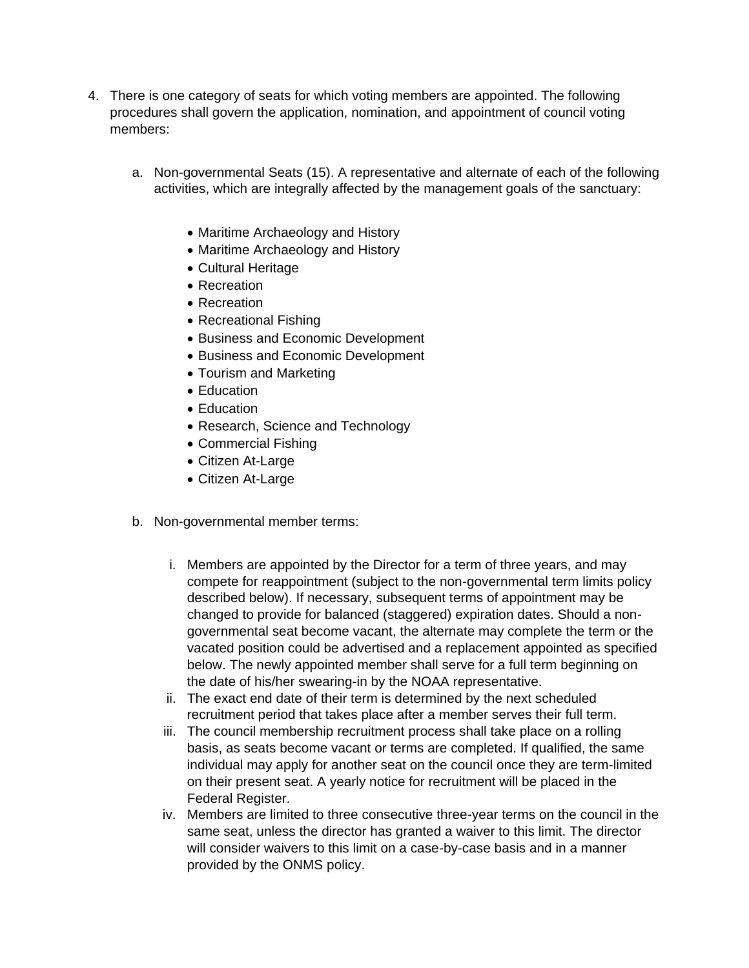- 4. There is one category of seats for which voting members are appointed. The following procedures shall govern the application, nomination, and appointment of council voting members:
	- a. Non-governmental Seats (15). A representative and alternate of each of the following activities, which are integrally affected by the management goals of the sanctuary:
		- Maritime Archaeology and History
		- Maritime Archaeology and History
		- Cultural Heritage
		- Recreation
		- Recreation
		- Recreational Fishing
		- **Business and Economic Development**
		- **Business and Economic Development**
		- Tourism and Marketing
		- Education
		- Education
		- Research, Science and Technology
		- Commercial Fishing
		- Citizen At-Large
		- Citizen At-Large
	- b. Non-governmental member terms:
		- i. Members are appointed by the Director for a term of three years, and may compete for reappointment (subject to the non-governmental term limits policy described below). If necessary, subsequent terms of appointment may be changed to provide for balanced (staggered) expiration dates. Should a nongovernmental seat become vacant, the alternate may complete the term or the vacated position could be advertised and a replacement appointed as specified below. The newly appointed member shall serve for a full term beginning on the date of his/her swearing-in by the NOAA representative.
		- ii. The exact end date of their term is determined by the next scheduled recruitment period that takes place after a member serves their full term.
		- iii. The council membership recruitment process shall take place on a rolling basis, as seats become vacant or terms are completed. If qualified, the same individual may apply for another seat on the council once they are term-limited on their present seat. A yearly notice for recruitment will be placed in the Federal Register.
		- iv. Members are limited to three consecutive three-year terms on the council in the same seat, unless the director has granted a waiver to this limit. The director will consider waivers to this limit on a case-by-case basis and in a manner provided by the ONMS policy.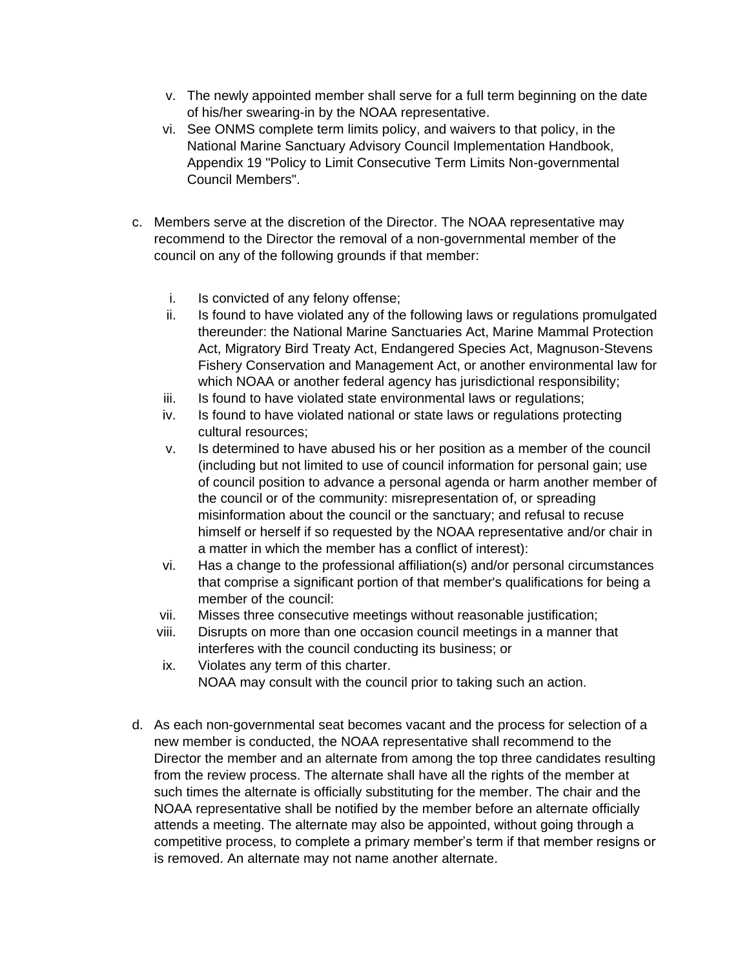- v. The newly appointed member shall serve for a full term beginning on the date of his/her swearing-in by the NOAA representative.
- vi. See ONMS complete term limits policy, and waivers to that policy, in the National Marine Sanctuary Advisory Council Implementation Handbook, Appendix 19 "Policy to Limit Consecutive Term Limits Non-governmental Council Members".
- c. Members serve at the discretion of the Director. The NOAA representative may recommend to the Director the removal of a non-governmental member of the council on any of the following grounds if that member:
	- i. Is convicted of any felony offense;
	- ii. Is found to have violated any of the following laws or regulations promulgated thereunder: the National Marine Sanctuaries Act, Marine Mammal Protection Act, Migratory Bird Treaty Act, Endangered Species Act, Magnuson-Stevens Fishery Conservation and Management Act, or another environmental law for which NOAA or another federal agency has jurisdictional responsibility;
	- iii. Is found to have violated state environmental laws or regulations;
	- iv. Is found to have violated national or state laws or regulations protecting cultural resources;
	- v. Is determined to have abused his or her position as a member of the council (including but not limited to use of council information for personal gain; use of council position to advance a personal agenda or harm another member of the council or of the community: misrepresentation of, or spreading misinformation about the council or the sanctuary; and refusal to recuse himself or herself if so requested by the NOAA representative and/or chair in a matter in which the member has a conflict of interest):
	- vi. Has a change to the professional affiliation(s) and/or personal circumstances that comprise a significant portion of that member's qualifications for being a member of the council:
	- vii. Misses three consecutive meetings without reasonable justification;
	- viii. Disrupts on more than one occasion council meetings in a manner that interferes with the council conducting its business; or
	- ix. Violates any term of this charter. NOAA may consult with the council prior to taking such an action.
- d. As each non-governmental seat becomes vacant and the process for selection of a new member is conducted, the NOAA representative shall recommend to the Director the member and an alternate from among the top three candidates resulting from the review process. The alternate shall have all the rights of the member at such times the alternate is officially substituting for the member. The chair and the NOAA representative shall be notified by the member before an alternate officially attends a meeting. The alternate may also be appointed, without going through a competitive process, to complete a primary member's term if that member resigns or is removed. An alternate may not name another alternate.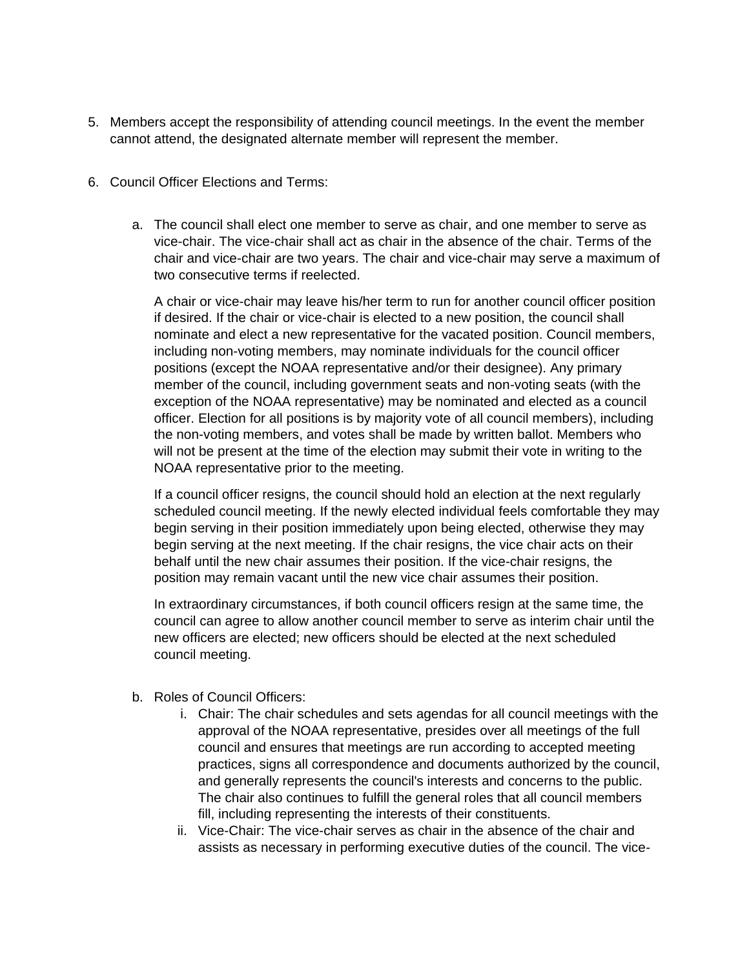- 5. Members accept the responsibility of attending council meetings. In the event the member cannot attend, the designated alternate member will represent the member.
- 6. Council Officer Elections and Terms:
	- a. The council shall elect one member to serve as chair, and one member to serve as vice-chair. The vice-chair shall act as chair in the absence of the chair. Terms of the chair and vice-chair are two years. The chair and vice-chair may serve a maximum of two consecutive terms if reelected.

A chair or vice-chair may leave his/her term to run for another council officer position if desired. If the chair or vice-chair is elected to a new position, the council shall nominate and elect a new representative for the vacated position. Council members, including non-voting members, may nominate individuals for the council officer positions (except the NOAA representative and/or their designee). Any primary member of the council, including government seats and non-voting seats (with the exception of the NOAA representative) may be nominated and elected as a council officer. Election for all positions is by majority vote of all council members), including the non-voting members, and votes shall be made by written ballot. Members who will not be present at the time of the election may submit their vote in writing to the NOAA representative prior to the meeting.

If a council officer resigns, the council should hold an election at the next regularly scheduled council meeting. If the newly elected individual feels comfortable they may begin serving in their position immediately upon being elected, otherwise they may begin serving at the next meeting. If the chair resigns, the vice chair acts on their behalf until the new chair assumes their position. If the vice-chair resigns, the position may remain vacant until the new vice chair assumes their position.

In extraordinary circumstances, if both council officers resign at the same time, the council can agree to allow another council member to serve as interim chair until the new officers are elected; new officers should be elected at the next scheduled council meeting.

- b. Roles of Council Officers:
	- i. Chair: The chair schedules and sets agendas for all council meetings with the approval of the NOAA representative, presides over all meetings of the full council and ensures that meetings are run according to accepted meeting practices, signs all correspondence and documents authorized by the council, and generally represents the council's interests and concerns to the public. The chair also continues to fulfill the general roles that all council members fill, including representing the interests of their constituents.
	- ii. Vice-Chair: The vice-chair serves as chair in the absence of the chair and assists as necessary in performing executive duties of the council. The vice-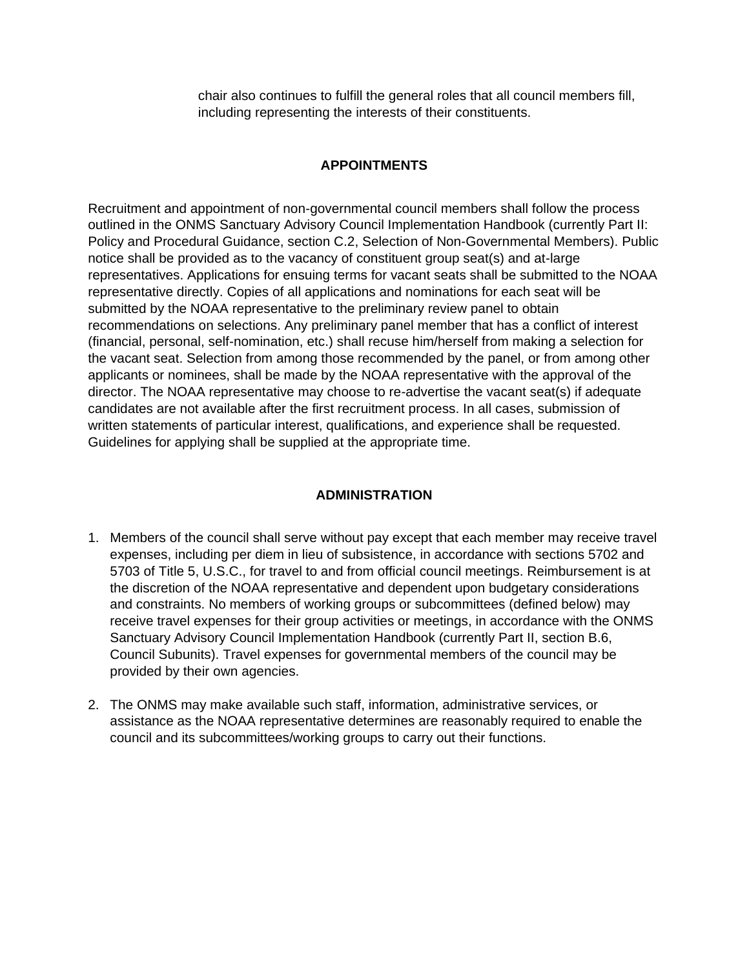chair also continues to fulfill the general roles that all council members fill, including representing the interests of their constituents.

### **APPOINTMENTS**

Recruitment and appointment of non-governmental council members shall follow the process outlined in the ONMS Sanctuary Advisory Council Implementation Handbook (currently Part II: Policy and Procedural Guidance, section C.2, Selection of Non-Governmental Members). Public notice shall be provided as to the vacancy of constituent group seat(s) and at-large representatives. Applications for ensuing terms for vacant seats shall be submitted to the NOAA representative directly. Copies of all applications and nominations for each seat will be submitted by the NOAA representative to the preliminary review panel to obtain recommendations on selections. Any preliminary panel member that has a conflict of interest (financial, personal, self-nomination, etc.) shall recuse him/herself from making a selection for the vacant seat. Selection from among those recommended by the panel, or from among other applicants or nominees, shall be made by the NOAA representative with the approval of the director. The NOAA representative may choose to re-advertise the vacant seat(s) if adequate candidates are not available after the first recruitment process. In all cases, submission of written statements of particular interest, qualifications, and experience shall be requested. Guidelines for applying shall be supplied at the appropriate time.

#### **ADMINISTRATION**

- 1. Members of the council shall serve without pay except that each member may receive travel expenses, including per diem in lieu of subsistence, in accordance with sections 5702 and 5703 of Title 5, U.S.C., for travel to and from official council meetings. Reimbursement is at the discretion of the NOAA representative and dependent upon budgetary considerations and constraints. No members of working groups or subcommittees (defined below) may receive travel expenses for their group activities or meetings, in accordance with the ONMS Sanctuary Advisory Council Implementation Handbook (currently Part II, section B.6, Council Subunits). Travel expenses for governmental members of the council may be provided by their own agencies.
- 2. The ONMS may make available such staff, information, administrative services, or assistance as the NOAA representative determines are reasonably required to enable the council and its subcommittees/working groups to carry out their functions.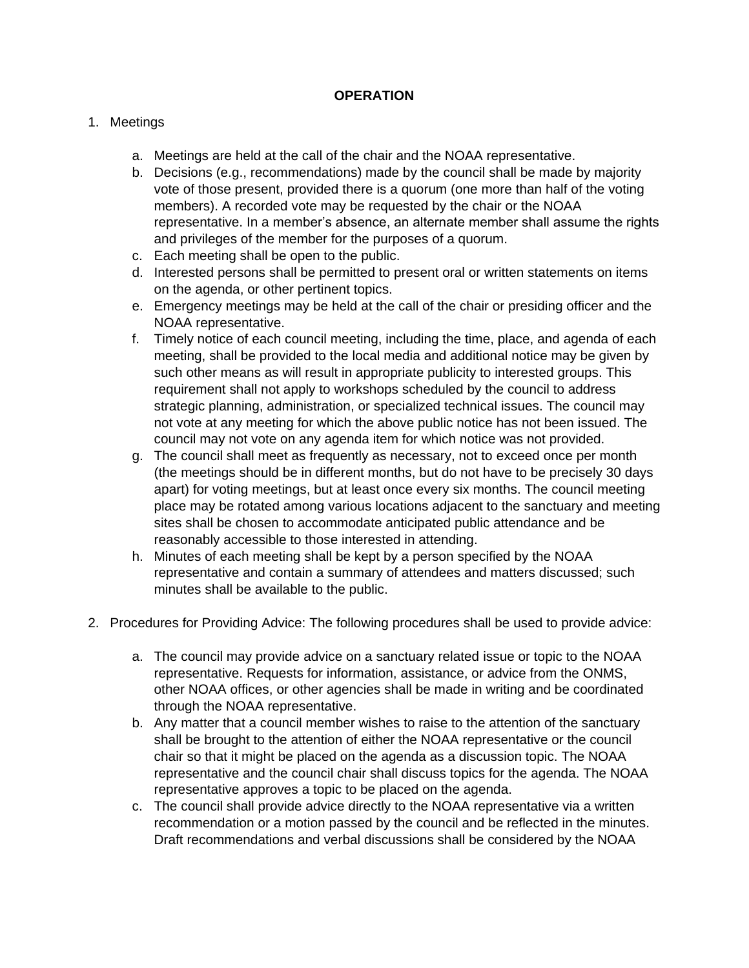### **OPERATION**

### 1. Meetings

- a. Meetings are held at the call of the chair and the NOAA representative.
- b. Decisions (e.g., recommendations) made by the council shall be made by majority vote of those present, provided there is a quorum (one more than half of the voting members). A recorded vote may be requested by the chair or the NOAA representative. In a member's absence, an alternate member shall assume the rights and privileges of the member for the purposes of a quorum.
- c. Each meeting shall be open to the public.
- d. Interested persons shall be permitted to present oral or written statements on items on the agenda, or other pertinent topics.
- e. Emergency meetings may be held at the call of the chair or presiding officer and the NOAA representative.
- f. Timely notice of each council meeting, including the time, place, and agenda of each meeting, shall be provided to the local media and additional notice may be given by such other means as will result in appropriate publicity to interested groups. This requirement shall not apply to workshops scheduled by the council to address strategic planning, administration, or specialized technical issues. The council may not vote at any meeting for which the above public notice has not been issued. The council may not vote on any agenda item for which notice was not provided.
- g. The council shall meet as frequently as necessary, not to exceed once per month (the meetings should be in different months, but do not have to be precisely 30 days apart) for voting meetings, but at least once every six months. The council meeting place may be rotated among various locations adjacent to the sanctuary and meeting sites shall be chosen to accommodate anticipated public attendance and be reasonably accessible to those interested in attending.
- h. Minutes of each meeting shall be kept by a person specified by the NOAA representative and contain a summary of attendees and matters discussed; such minutes shall be available to the public.
- 2. Procedures for Providing Advice: The following procedures shall be used to provide advice:
	- a. The council may provide advice on a sanctuary related issue or topic to the NOAA representative. Requests for information, assistance, or advice from the ONMS, other NOAA offices, or other agencies shall be made in writing and be coordinated through the NOAA representative.
	- b. Any matter that a council member wishes to raise to the attention of the sanctuary shall be brought to the attention of either the NOAA representative or the council chair so that it might be placed on the agenda as a discussion topic. The NOAA representative and the council chair shall discuss topics for the agenda. The NOAA representative approves a topic to be placed on the agenda.
	- c. The council shall provide advice directly to the NOAA representative via a written recommendation or a motion passed by the council and be reflected in the minutes. Draft recommendations and verbal discussions shall be considered by the NOAA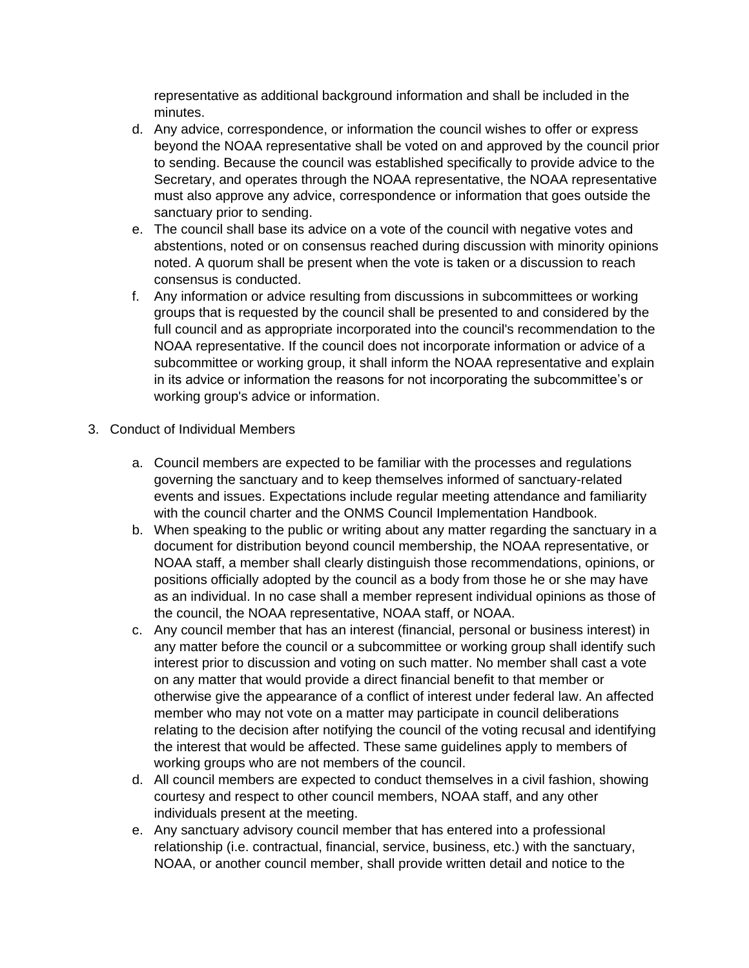representative as additional background information and shall be included in the minutes.

- d. Any advice, correspondence, or information the council wishes to offer or express beyond the NOAA representative shall be voted on and approved by the council prior to sending. Because the council was established specifically to provide advice to the Secretary, and operates through the NOAA representative, the NOAA representative must also approve any advice, correspondence or information that goes outside the sanctuary prior to sending.
- e. The council shall base its advice on a vote of the council with negative votes and abstentions, noted or on consensus reached during discussion with minority opinions noted. A quorum shall be present when the vote is taken or a discussion to reach consensus is conducted.
- f. Any information or advice resulting from discussions in subcommittees or working groups that is requested by the council shall be presented to and considered by the full council and as appropriate incorporated into the council's recommendation to the NOAA representative. If the council does not incorporate information or advice of a subcommittee or working group, it shall inform the NOAA representative and explain in its advice or information the reasons for not incorporating the subcommittee's or working group's advice or information.
- 3. Conduct of Individual Members
	- a. Council members are expected to be familiar with the processes and regulations governing the sanctuary and to keep themselves informed of sanctuary-related events and issues. Expectations include regular meeting attendance and familiarity with the council charter and the ONMS Council Implementation Handbook.
	- b. When speaking to the public or writing about any matter regarding the sanctuary in a document for distribution beyond council membership, the NOAA representative, or NOAA staff, a member shall clearly distinguish those recommendations, opinions, or positions officially adopted by the council as a body from those he or she may have as an individual. In no case shall a member represent individual opinions as those of the council, the NOAA representative, NOAA staff, or NOAA.
	- c. Any council member that has an interest (financial, personal or business interest) in any matter before the council or a subcommittee or working group shall identify such interest prior to discussion and voting on such matter. No member shall cast a vote on any matter that would provide a direct financial benefit to that member or otherwise give the appearance of a conflict of interest under federal law. An affected member who may not vote on a matter may participate in council deliberations relating to the decision after notifying the council of the voting recusal and identifying the interest that would be affected. These same guidelines apply to members of working groups who are not members of the council.
	- d. All council members are expected to conduct themselves in a civil fashion, showing courtesy and respect to other council members, NOAA staff, and any other individuals present at the meeting.
	- e. Any sanctuary advisory council member that has entered into a professional relationship (i.e. contractual, financial, service, business, etc.) with the sanctuary, NOAA, or another council member, shall provide written detail and notice to the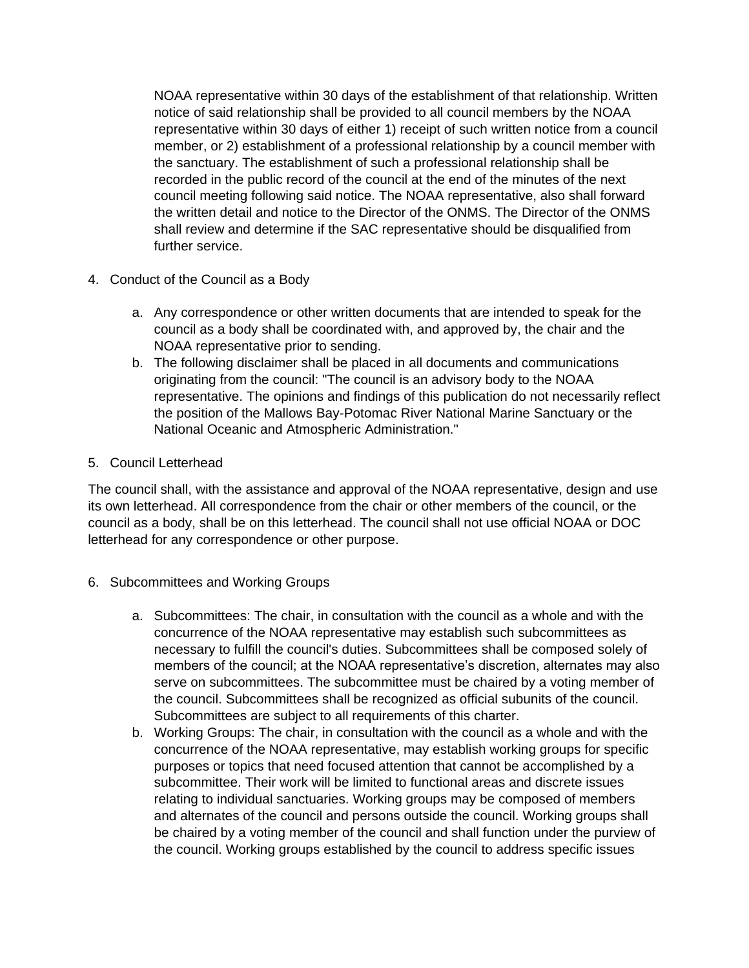NOAA representative within 30 days of the establishment of that relationship. Written notice of said relationship shall be provided to all council members by the NOAA representative within 30 days of either 1) receipt of such written notice from a council member, or 2) establishment of a professional relationship by a council member with the sanctuary. The establishment of such a professional relationship shall be recorded in the public record of the council at the end of the minutes of the next council meeting following said notice. The NOAA representative, also shall forward the written detail and notice to the Director of the ONMS. The Director of the ONMS shall review and determine if the SAC representative should be disqualified from further service.

- 4. Conduct of the Council as a Body
	- a. Any correspondence or other written documents that are intended to speak for the council as a body shall be coordinated with, and approved by, the chair and the NOAA representative prior to sending.
	- b. The following disclaimer shall be placed in all documents and communications originating from the council: "The council is an advisory body to the NOAA representative. The opinions and findings of this publication do not necessarily reflect the position of the Mallows Bay-Potomac River National Marine Sanctuary or the National Oceanic and Atmospheric Administration."
- 5. Council Letterhead

The council shall, with the assistance and approval of the NOAA representative, design and use its own letterhead. All correspondence from the chair or other members of the council, or the council as a body, shall be on this letterhead. The council shall not use official NOAA or DOC letterhead for any correspondence or other purpose.

- 6. Subcommittees and Working Groups
	- a. Subcommittees: The chair, in consultation with the council as a whole and with the concurrence of the NOAA representative may establish such subcommittees as necessary to fulfill the council's duties. Subcommittees shall be composed solely of members of the council; at the NOAA representative's discretion, alternates may also serve on subcommittees. The subcommittee must be chaired by a voting member of the council. Subcommittees shall be recognized as official subunits of the council. Subcommittees are subject to all requirements of this charter.
	- b. Working Groups: The chair, in consultation with the council as a whole and with the concurrence of the NOAA representative, may establish working groups for specific purposes or topics that need focused attention that cannot be accomplished by a subcommittee. Their work will be limited to functional areas and discrete issues relating to individual sanctuaries. Working groups may be composed of members and alternates of the council and persons outside the council. Working groups shall be chaired by a voting member of the council and shall function under the purview of the council. Working groups established by the council to address specific issues